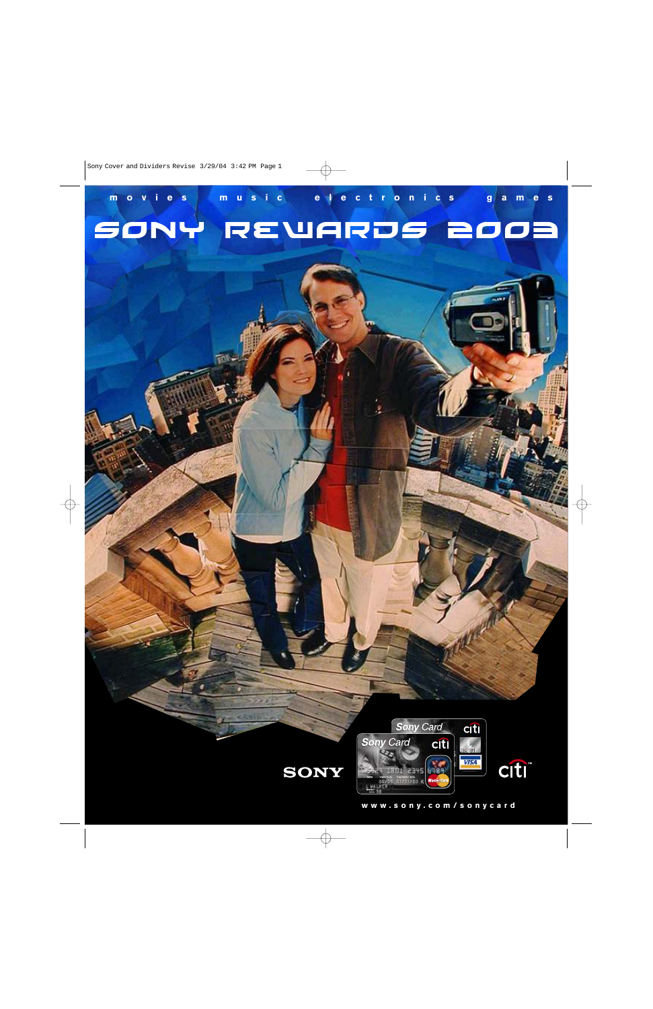### Sony rewards 2oo3 **movies music electronics games**

 $\vert \cdot \vert$ 





**www .sony .com/sonycard**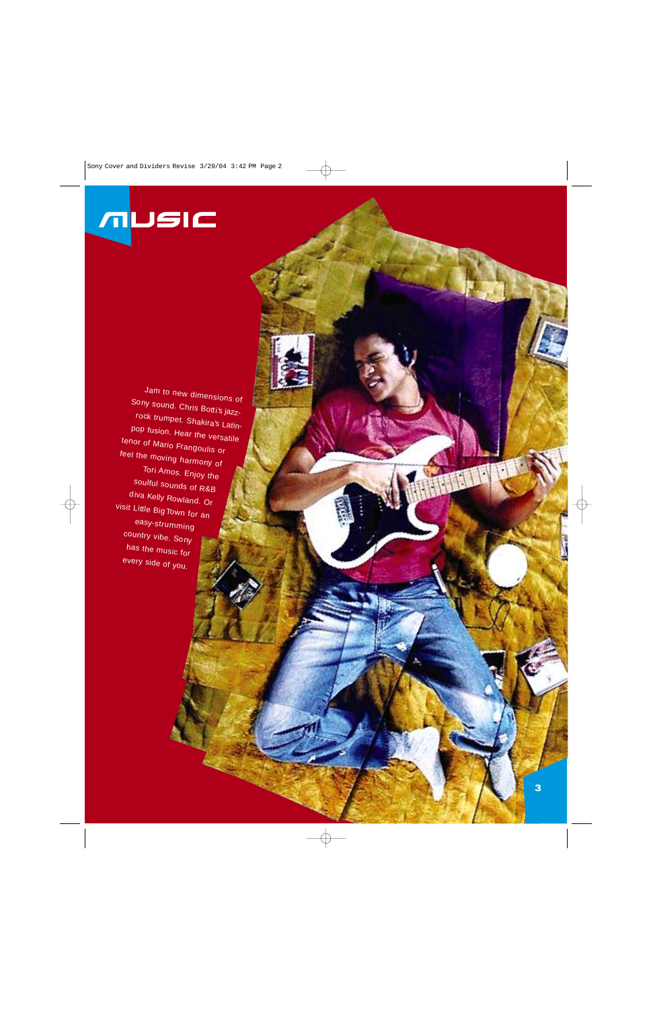# music

Jam to new dimensions of Sony sound. Chris Botti's jazzrock trumpet. Shakira's Latinpop fusion. Hear the versatile tenor of Mario Frangoulis or feel the moving harmony of Tori Amos. Enjoy the soulful sounds of R&B diva Kelly Rowland. Or visit Little Big Town for an easy-strumming country vibe. Sony has the music for every side of you.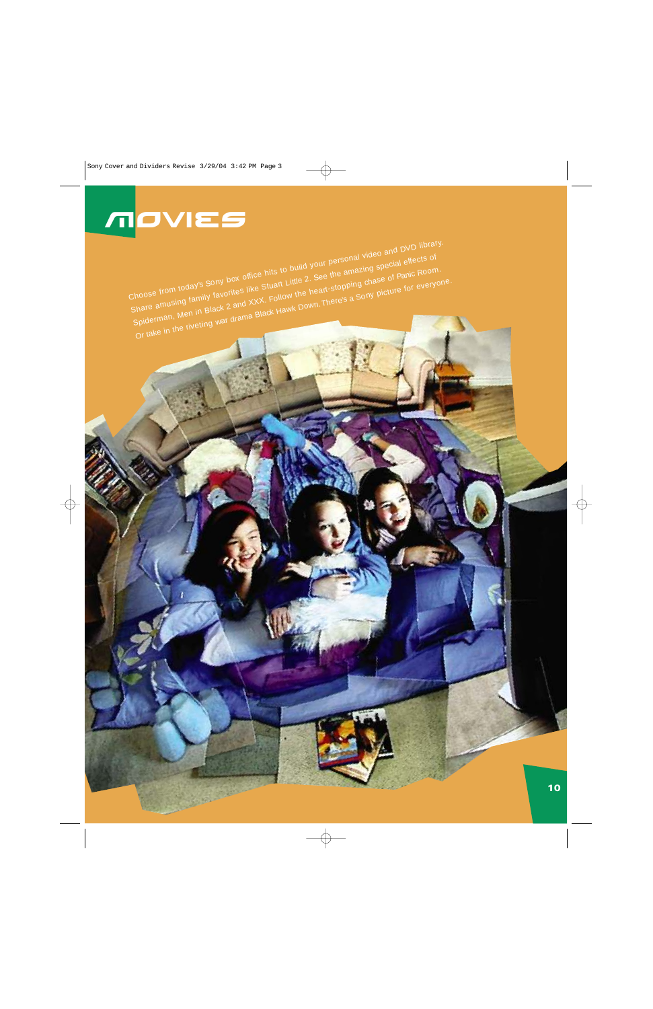Choose from today's Sony box office hits to build your personal video and DVD library. Share amusing family favorites like Stuart Little 2. See the amazing special effects of Spiderman, Men in Black 2 and XXX. Follow the heart-stopping chase of Panic Room. Or take in the riveting war drama Black Hawk Down. There's a Sony picture for everyone.

## movies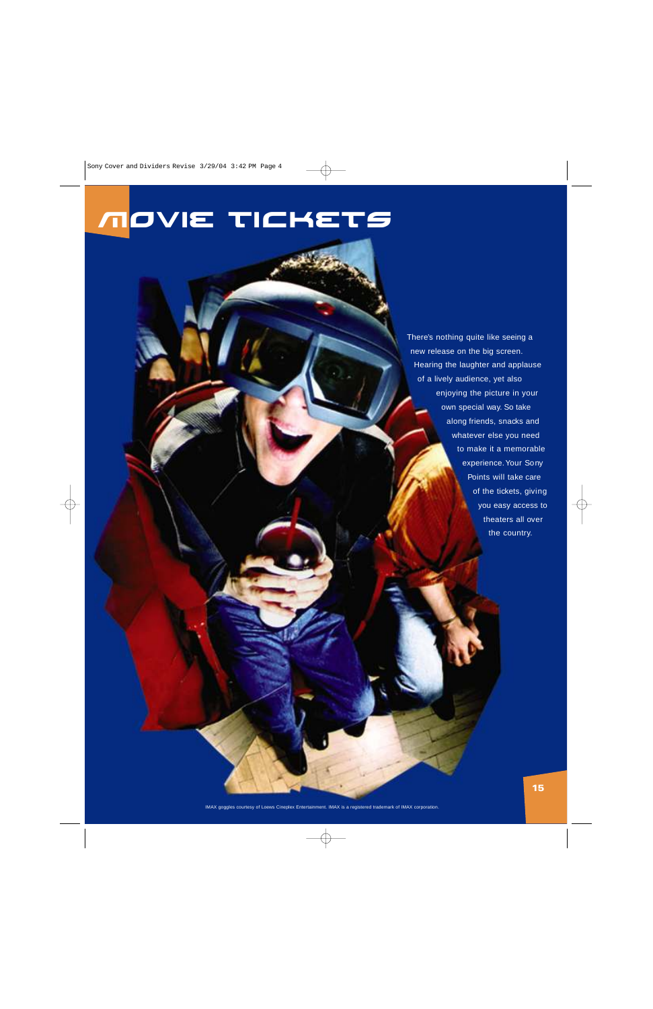### movie tickets

There's nothing quite like seeing a new release on the big screen. Hearing the laughter and applause of a lively audience, yet also enjoying the picture in your own special way. So take along friends, snacks and whatever else you need to make it a memorable experience. Your Sony Points will take care of the tickets, giving you easy access to theaters all over the country.